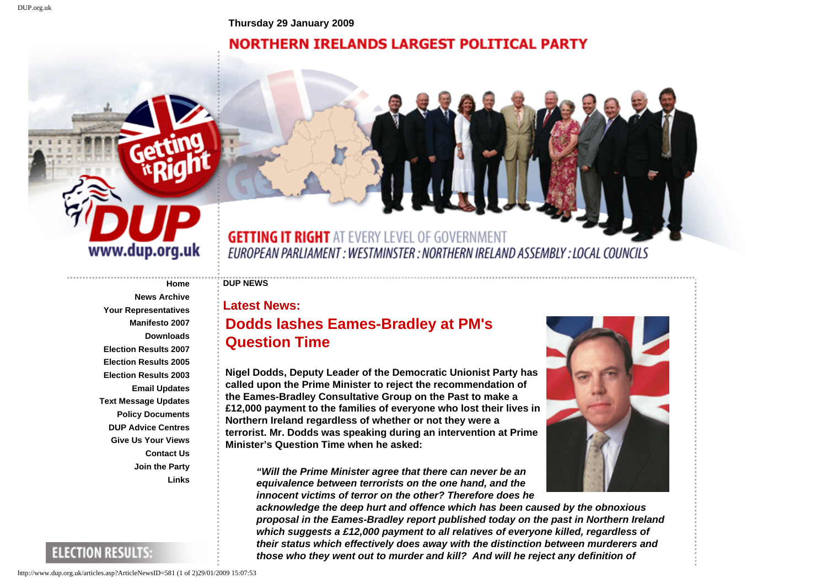**Thursday 29 January 2009**

## **NORTHERN IRELANDS LARGEST POLITICAL PARTY**



## **GETTING IT RIGHT AT EVERY LEVEL OF GOVERNMENT** EUROPEAN PARLIAMENT : WESTMINSTER : NORTHERN IRELAND ASSEMBLY : LOCAL COUNCILS

## **[Home](http://www.dup.org.uk/Home.asp) DUP NEWS**

**[News Archive](http://www.dup.org.uk/MoreArticles.asp)**

**[Email Updates](http://www.dup.org.uk/EmailSignUp.asp)**

**[Contact Us](http://www.dup.org.uk/Contact.asp) [Join the Party](http://www.dup.org.uk/MembershipForm.asp)**

**[Links](http://www.dup.org.uk/Links.asp)**

**[Your Representatives](http://www.dup.org.uk/Representatives.asp) [Manifesto 2007](http://www.dup.org.uk/Manifesto2.asp) [Downloads](http://www.dup.org.uk/Downloads.asp)**

**[Election Results 2007](http://www.dup.org.uk/Results2007seats.asp) [Election Results 2005](http://www.dup.org.uk/Getresults2005.asp?ConstituencyID=1) [Election Results 2003](http://www.dup.org.uk/Getresults.asp?ConstituencyID=1)**

**[Text Message Updates](http://www.dup.org.uk/SmsSignUp.asp) [Policy Documents](http://www.dup.org.uk/PolicyPapers.asp) [DUP Advice Centres](http://www.dup.org.uk/AdviceCentres.asp) [Give Us Your Views](http://www.dup.org.uk/FeedBackForm.asp)** **Latest News:**

## **Dodds lashes Eames-Bradley at PM's Question Time**

**Nigel Dodds, Deputy Leader of the Democratic Unionist Party has called upon the Prime Minister to reject the recommendation of the Eames-Bradley Consultative Group on the Past to make a £12,000 payment to the families of everyone who lost their lives in Northern Ireland regardless of whether or not they were a terrorist. Mr. Dodds was speaking during an intervention at Prime Minister's Question Time when he asked:** 

*"Will the Prime Minister agree that there can never be an equivalence between terrorists on the one hand, and the innocent victims of terror on the other? Therefore does he* 



**ELECTION RESULTS:** 

http://www.dup.org.uk/articles.asp?ArticleNewsID=581 (1 of 2)29/01/2009 15:07:53